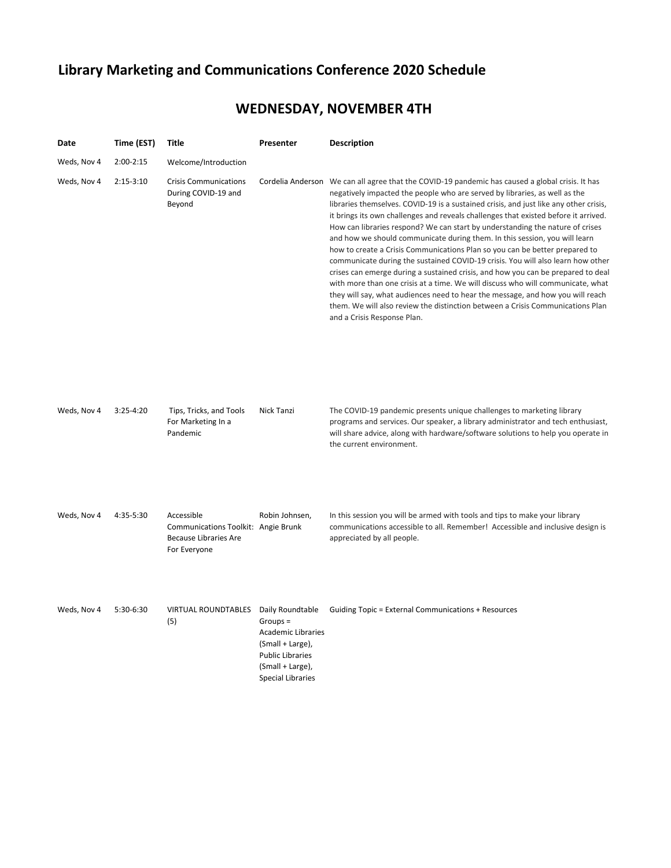# **Library Marketing and Communications Conference 2020 Schedule**

## **WEDNESDAY, NOVEMBER 4TH**

| Date        | Time (EST)    | Title                                                                                             | Presenter                                                                                                                              | <b>Description</b>                                                                                                                                                                                                                                                                                                                                                                                                                                                                                                                                                                                                                                                                                                                                                                                                                                                                                                                                                                                                                                                        |
|-------------|---------------|---------------------------------------------------------------------------------------------------|----------------------------------------------------------------------------------------------------------------------------------------|---------------------------------------------------------------------------------------------------------------------------------------------------------------------------------------------------------------------------------------------------------------------------------------------------------------------------------------------------------------------------------------------------------------------------------------------------------------------------------------------------------------------------------------------------------------------------------------------------------------------------------------------------------------------------------------------------------------------------------------------------------------------------------------------------------------------------------------------------------------------------------------------------------------------------------------------------------------------------------------------------------------------------------------------------------------------------|
| Weds, Nov 4 | $2:00-2:15$   | Welcome/Introduction                                                                              |                                                                                                                                        |                                                                                                                                                                                                                                                                                                                                                                                                                                                                                                                                                                                                                                                                                                                                                                                                                                                                                                                                                                                                                                                                           |
| Weds, Nov 4 | $2:15-3:10$   | <b>Crisis Communications</b><br>During COVID-19 and<br>Beyond                                     |                                                                                                                                        | Cordelia Anderson We can all agree that the COVID-19 pandemic has caused a global crisis. It has<br>negatively impacted the people who are served by libraries, as well as the<br>libraries themselves. COVID-19 is a sustained crisis, and just like any other crisis,<br>it brings its own challenges and reveals challenges that existed before it arrived.<br>How can libraries respond? We can start by understanding the nature of crises<br>and how we should communicate during them. In this session, you will learn<br>how to create a Crisis Communications Plan so you can be better prepared to<br>communicate during the sustained COVID-19 crisis. You will also learn how other<br>crises can emerge during a sustained crisis, and how you can be prepared to deal<br>with more than one crisis at a time. We will discuss who will communicate, what<br>they will say, what audiences need to hear the message, and how you will reach<br>them. We will also review the distinction between a Crisis Communications Plan<br>and a Crisis Response Plan. |
| Weds, Nov 4 | $3:25 - 4:20$ | Tips, Tricks, and Tools<br>For Marketing In a<br>Pandemic                                         | Nick Tanzi                                                                                                                             | The COVID-19 pandemic presents unique challenges to marketing library<br>programs and services. Our speaker, a library administrator and tech enthusiast,<br>will share advice, along with hardware/software solutions to help you operate in<br>the current environment.                                                                                                                                                                                                                                                                                                                                                                                                                                                                                                                                                                                                                                                                                                                                                                                                 |
| Weds, Nov 4 | 4:35-5:30     | Accessible<br>Communications Toolkit: Angie Brunk<br><b>Because Libraries Are</b><br>For Everyone | Robin Johnsen,                                                                                                                         | In this session you will be armed with tools and tips to make your library<br>communications accessible to all. Remember! Accessible and inclusive design is<br>appreciated by all people.                                                                                                                                                                                                                                                                                                                                                                                                                                                                                                                                                                                                                                                                                                                                                                                                                                                                                |
| Weds, Nov 4 | 5:30-6:30     | VIRTUAL ROUNDTABLES Daily Roundtable<br>(5)                                                       | $Groups =$<br><b>Academic Libraries</b><br>(Small + Large),<br><b>Public Libraries</b><br>(Small + Large),<br><b>Special Libraries</b> | Guiding Topic = External Communications + Resources                                                                                                                                                                                                                                                                                                                                                                                                                                                                                                                                                                                                                                                                                                                                                                                                                                                                                                                                                                                                                       |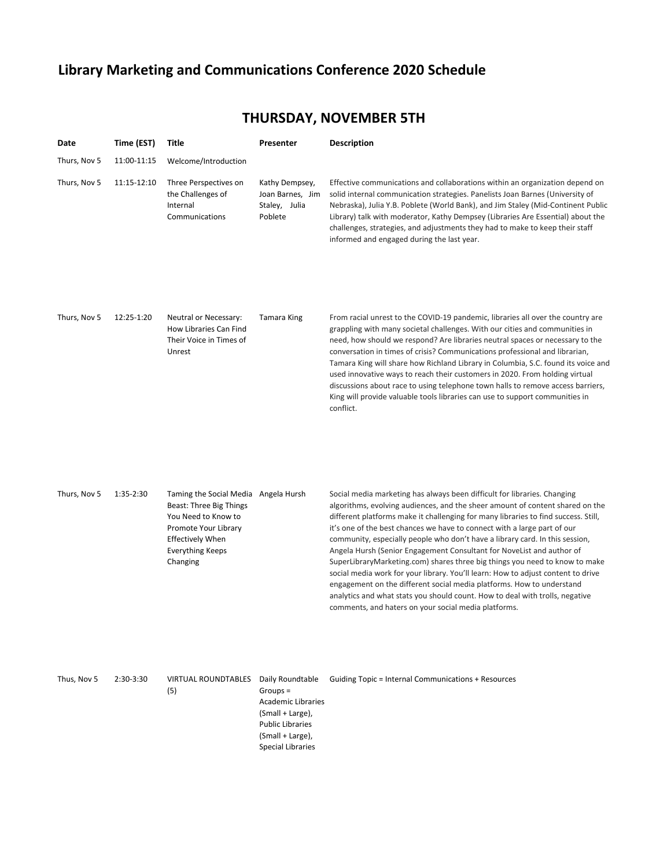### **Library Marketing and Communications Conference 2020 Schedule**

#### **Date Time (EST) Title Presenter Description** Thurs, Nov 5 11:00-11:15 Welcome/Introduction Thurs, Nov 5 11:15-12:10 Three Perspectives on the Challenges of Internal Communications Kathy Dempsey, Joan Barnes, Jim Staley, Julia Poblete Effective communications and collaborations within an organization depend on solid internal communication strategies. Panelists Joan Barnes (University of Nebraska), Julia Y.B. Poblete (World Bank), and Jim Staley (Mid-Continent Public Library) talk with moderator, Kathy Dempsey (Libraries Are Essential) about the challenges, strategies, and adjustments they had to make to keep their staff informed and engaged during the last year. Thurs, Nov 5 12:25-1:20 Neutral or Necessary: How Libraries Can Find Their Voice in Times of Unrest Tamara King From racial unrest to the COVID-19 pandemic, libraries all over the country are grappling with many societal challenges. With our cities and communities in need, how should we respond? Are libraries neutral spaces or necessary to the conversation in times of crisis? Communications professional and librarian, Tamara King will share how Richland Library in Columbia, S.C. found its voice and used innovative ways to reach their customers in 2020. From holding virtual discussions about race to using telephone town halls to remove access barriers, King will provide valuable tools libraries can use to support communities in conflict.

Thurs, Nov 5 1:35-2:30 Taming the Social Media Angela Hursh Beast: Three Big Things You Need to Know to Promote Your Library Effectively When Everything Keeps Changing

Social media marketing has always been difficult for libraries. Changing algorithms, evolving audiences, and the sheer amount of content shared on the different platforms make it challenging for many libraries to find success. Still, it's one of the best chances we have to connect with a large part of our community, especially people who don't have a library card. In this session, Angela Hursh (Senior Engagement Consultant for NoveList and author of SuperLibraryMarketing.com) shares three big things you need to know to make social media work for your library. You'll learn: How to adjust content to drive engagement on the different social media platforms. How to understand analytics and what stats you should count. How to deal with trolls, negative comments, and haters on your social media platforms.

| Thus, Nov 5 | $2:30-3:30$ | <b>VIRTUAL ROUNDTABLES</b> | Daily Roundtable          | Guiding Topic = Internal Communications + Resources |
|-------------|-------------|----------------------------|---------------------------|-----------------------------------------------------|
|             |             | (5)                        | $Groups =$                |                                                     |
|             |             |                            | <b>Academic Libraries</b> |                                                     |
|             |             |                            | (Small + Large),          |                                                     |
|             |             |                            | <b>Public Libraries</b>   |                                                     |
|             |             |                            | (Small + Large),          |                                                     |
|             |             |                            | Special Libraries         |                                                     |

### **THURSDAY, NOVEMBER 5TH**